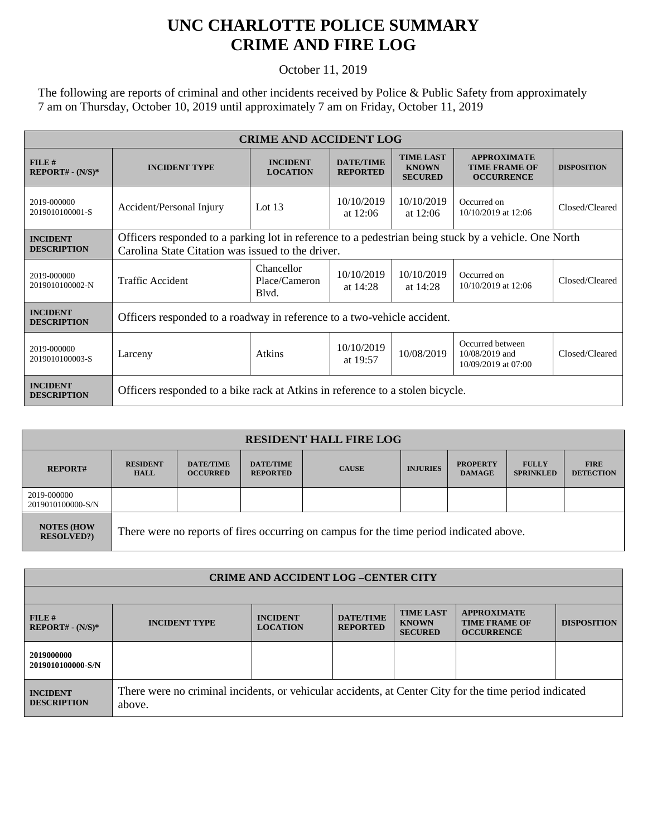## **UNC CHARLOTTE POLICE SUMMARY CRIME AND FIRE LOG**

## October 11, 2019

The following are reports of criminal and other incidents received by Police & Public Safety from approximately 7 am on Thursday, October 10, 2019 until approximately 7 am on Friday, October 11, 2019

| <b>CRIME AND ACCIDENT LOG</b>         |                                                                                                                                                           |                                      |                                     |                                                    |                                                                 |                    |  |  |
|---------------------------------------|-----------------------------------------------------------------------------------------------------------------------------------------------------------|--------------------------------------|-------------------------------------|----------------------------------------------------|-----------------------------------------------------------------|--------------------|--|--|
| FILE#<br>$REPORT# - (N/S)*$           | <b>INCIDENT TYPE</b>                                                                                                                                      | <b>INCIDENT</b><br><b>LOCATION</b>   | <b>DATE/TIME</b><br><b>REPORTED</b> | <b>TIME LAST</b><br><b>KNOWN</b><br><b>SECURED</b> | <b>APPROXIMATE</b><br><b>TIME FRAME OF</b><br><b>OCCURRENCE</b> | <b>DISPOSITION</b> |  |  |
| 2019-000000<br>2019010100001-S        | Accident/Personal Injury                                                                                                                                  | Lot $13$                             | 10/10/2019<br>at $12:06$            | 10/10/2019<br>at $12:06$                           | Occurred on<br>10/10/2019 at 12:06                              | Closed/Cleared     |  |  |
| <b>INCIDENT</b><br><b>DESCRIPTION</b> | Officers responded to a parking lot in reference to a pedestrian being stuck by a vehicle. One North<br>Carolina State Citation was issued to the driver. |                                      |                                     |                                                    |                                                                 |                    |  |  |
| 2019-000000<br>2019010100002-N        | Traffic Accident                                                                                                                                          | Chancellor<br>Place/Cameron<br>Blyd. | 10/10/2019<br>at $14:28$            | 10/10/2019<br>at $14:28$                           | Occurred on<br>10/10/2019 at 12:06                              | Closed/Cleared     |  |  |
| <b>INCIDENT</b><br><b>DESCRIPTION</b> | Officers responded to a roadway in reference to a two-vehicle accident.                                                                                   |                                      |                                     |                                                    |                                                                 |                    |  |  |
| 2019-000000<br>2019010100003-S        | Larceny                                                                                                                                                   | Atkins                               | 10/10/2019<br>at 19:57              | 10/08/2019                                         | Occurred between<br>$10/08/2019$ and<br>10/09/2019 at 07:00     | Closed/Cleared     |  |  |
| <b>INCIDENT</b><br><b>DESCRIPTION</b> | Officers responded to a bike rack at Atkins in reference to a stolen bicycle.                                                                             |                                      |                                     |                                                    |                                                                 |                    |  |  |

| <b>RESIDENT HALL FIRE LOG</b>          |                                                                                         |                                     |                                     |              |                 |                                  |                                  |                                 |  |
|----------------------------------------|-----------------------------------------------------------------------------------------|-------------------------------------|-------------------------------------|--------------|-----------------|----------------------------------|----------------------------------|---------------------------------|--|
| <b>REPORT#</b>                         | <b>RESIDENT</b><br><b>HALL</b>                                                          | <b>DATE/TIME</b><br><b>OCCURRED</b> | <b>DATE/TIME</b><br><b>REPORTED</b> | <b>CAUSE</b> | <b>INJURIES</b> | <b>PROPERTY</b><br><b>DAMAGE</b> | <b>FULLY</b><br><b>SPRINKLED</b> | <b>FIRE</b><br><b>DETECTION</b> |  |
| 2019-000000<br>2019010100000-S/N       |                                                                                         |                                     |                                     |              |                 |                                  |                                  |                                 |  |
| <b>NOTES (HOW</b><br><b>RESOLVED?)</b> | There were no reports of fires occurring on campus for the time period indicated above. |                                     |                                     |              |                 |                                  |                                  |                                 |  |

| <b>CRIME AND ACCIDENT LOG-CENTER CITY</b> |                                                                                                                  |                                    |                                     |                                                    |                                                                 |                    |  |
|-------------------------------------------|------------------------------------------------------------------------------------------------------------------|------------------------------------|-------------------------------------|----------------------------------------------------|-----------------------------------------------------------------|--------------------|--|
|                                           |                                                                                                                  |                                    |                                     |                                                    |                                                                 |                    |  |
| FILE#<br>$REPORT# - (N/S)*$               | <b>INCIDENT TYPE</b>                                                                                             | <b>INCIDENT</b><br><b>LOCATION</b> | <b>DATE/TIME</b><br><b>REPORTED</b> | <b>TIME LAST</b><br><b>KNOWN</b><br><b>SECURED</b> | <b>APPROXIMATE</b><br><b>TIME FRAME OF</b><br><b>OCCURRENCE</b> | <b>DISPOSITION</b> |  |
| 2019000000<br>2019010100000-S/N           |                                                                                                                  |                                    |                                     |                                                    |                                                                 |                    |  |
| <b>INCIDENT</b><br><b>DESCRIPTION</b>     | There were no criminal incidents, or vehicular accidents, at Center City for the time period indicated<br>above. |                                    |                                     |                                                    |                                                                 |                    |  |